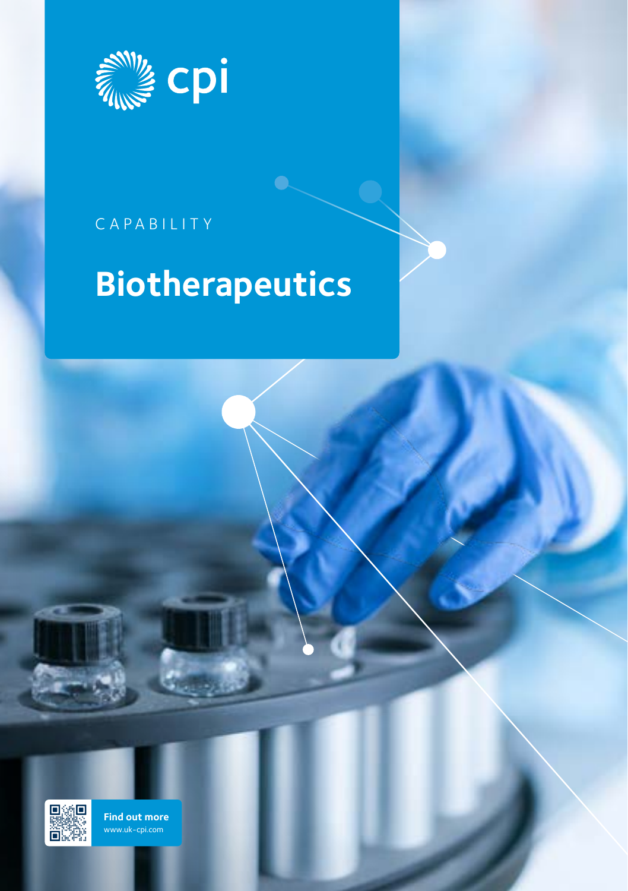

## CAPABILITY

# **Biotherapeutics**



**[Find out more](https://hubs.ly/H0p7XNK0)** www.uk-cpi.com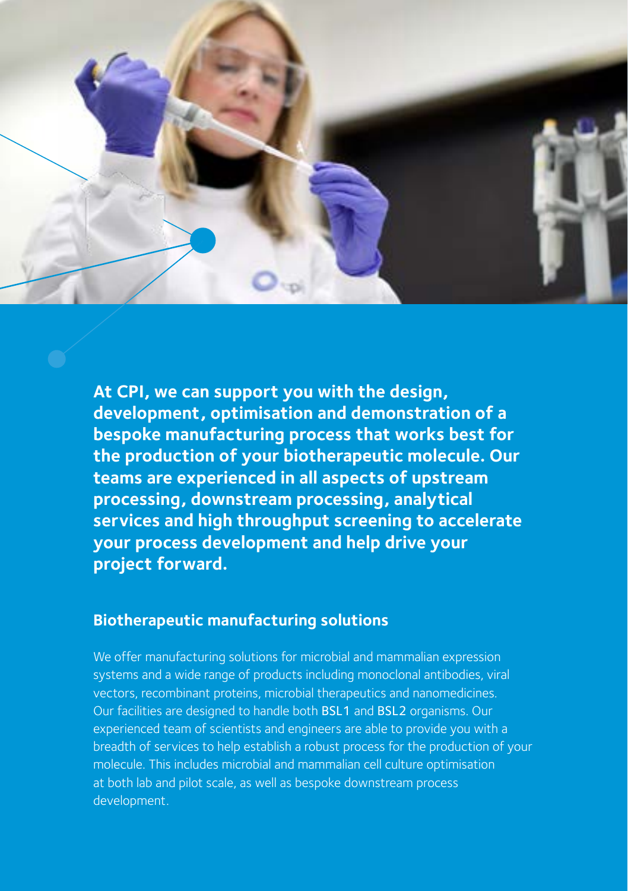

**At CPI, we can support you with the design, development, optimisation and demonstration of a bespoke manufacturing process that works best for the production of your biotherapeutic molecule. Our teams are experienced in all aspects of upstream processing, downstream processing, analytical services and high throughput screening to accelerate your process development and help drive your project forward.**

#### **Biotherapeutic manufacturing solutions**

We offer manufacturing solutions for microbial and mammalian expression systems and a wide range of products including monoclonal antibodies, viral vectors, recombinant proteins, microbial therapeutics and nanomedicines. Our facilities are designed to handle both BSL1 and BSL2 organisms. Our experienced team of scientists and engineers are able to provide you with a breadth of services to help establish a robust process for the production of your molecule. This includes microbial and mammalian cell culture optimisation at both lab and pilot scale, as well as bespoke downstream process development.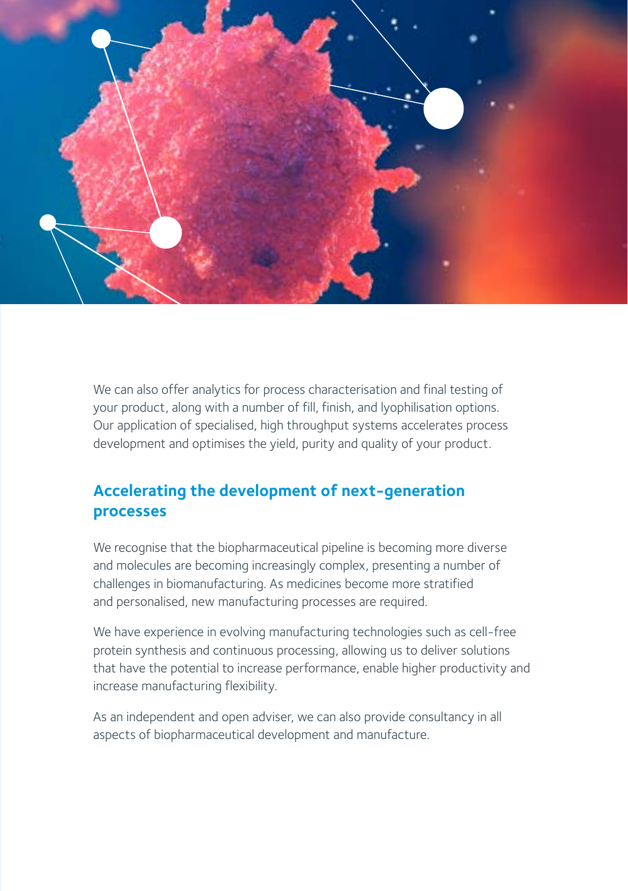

We can also offer analytics for process characterisation and final testing of your product, along with a number of fill, finish, and lyophilisation options. Our application of specialised, high throughput systems accelerates process development and optimises the yield, purity and quality of your product.

#### **Accelerating the development of next-generation processes**

We recognise that the biopharmaceutical pipeline is becoming more diverse and molecules are becoming increasingly complex, presenting a number of challenges in biomanufacturing. As medicines become more stratified and personalised, new manufacturing processes are required.

We have experience in evolving manufacturing technologies such as cell-free protein synthesis and continuous processing, allowing us to deliver solutions that have the potential to increase performance, enable higher productivity and increase manufacturing flexibility.

As an independent and open adviser, we can also provide consultancy in all aspects of biopharmaceutical development and manufacture.